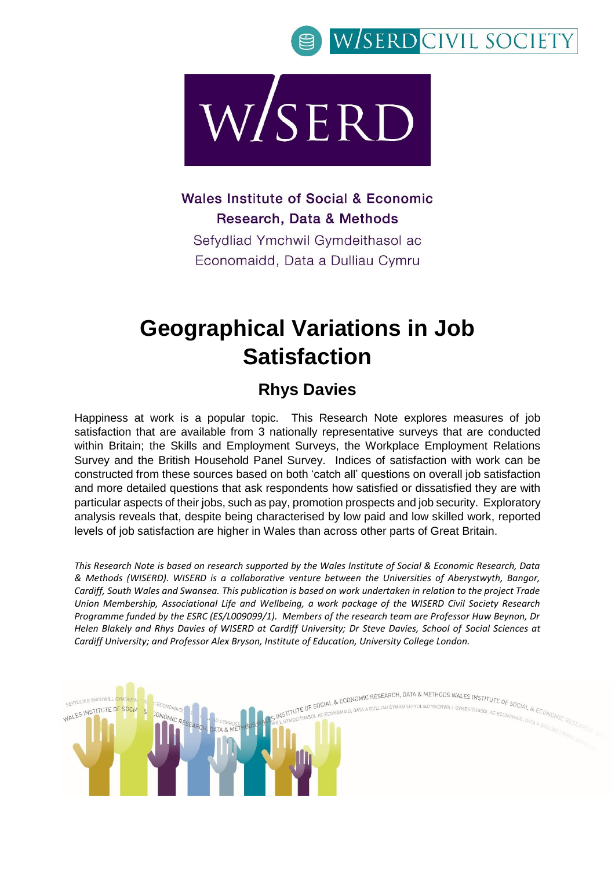



Wales Institute of Social & Economic Research, Data & Methods

Sefydliad Ymchwil Gymdeithasol ac Economaidd, Data a Dulliau Cymru

## **Geographical Variations in Job Satisfaction**

### **Rhys Davies**

Happiness at work is a popular topic. This Research Note explores measures of job satisfaction that are available from 3 nationally representative surveys that are conducted within Britain; the Skills and Employment Surveys, the Workplace Employment Relations Survey and the British Household Panel Survey. Indices of satisfaction with work can be constructed from these sources based on both 'catch all' questions on overall job satisfaction and more detailed questions that ask respondents how satisfied or dissatisfied they are with particular aspects of their jobs, such as pay, promotion prospects and job security. Exploratory analysis reveals that, despite being characterised by low paid and low skilled work, reported levels of job satisfaction are higher in Wales than across other parts of Great Britain.

*This Research Note is based on research supported by the Wales Institute of Social & Economic Research, Data & Methods (WISERD). WISERD is a collaborative venture between the Universities of Aberystwyth, Bangor, Cardiff, South Wales and Swansea. This publication is based on work undertaken in relation to the project Trade Union Membership, Associational Life and Wellbeing, a work package of the WISERD Civil Society Research Programme funded by the ESRC (ES/L009099/1). Members of the research team are Professor Huw Beynon, Dr Helen Blakely and Rhys Davies of WISERD at Cardiff University; Dr Steve Davies, School of Social Sciences at Cardiff University; and Professor Alex Bryson, Institute of Education, University College London.*

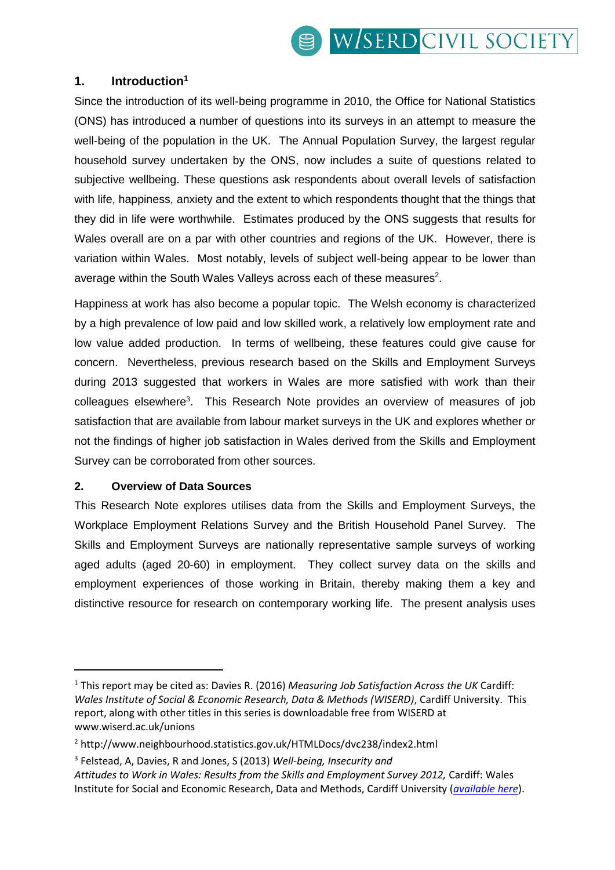### **1. Introduction<sup>1</sup>**

Since the introduction of its well-being programme in 2010, the Office for National Statistics (ONS) has introduced a number of questions into its surveys in an attempt to measure the well-being of the population in the UK. The Annual Population Survey, the largest regular household survey undertaken by the ONS, now includes a suite of questions related to subjective wellbeing. These questions ask respondents about overall levels of satisfaction with life, happiness, anxiety and the extent to which respondents thought that the things that they did in life were worthwhile. Estimates produced by the ONS suggests that results for Wales overall are on a par with other countries and regions of the UK. However, there is variation within Wales. Most notably, levels of subject well-being appear to be lower than average within the South Wales Valleys across each of these measures $2$ .

Happiness at work has also become a popular topic. The Welsh economy is characterized by a high prevalence of low paid and low skilled work, a relatively low employment rate and low value added production. In terms of wellbeing, these features could give cause for concern. Nevertheless, previous research based on the Skills and Employment Surveys during 2013 suggested that workers in Wales are more satisfied with work than their colleagues elsewhere<sup>3</sup>. This Research Note provides an overview of measures of job satisfaction that are available from labour market surveys in the UK and explores whether or not the findings of higher job satisfaction in Wales derived from the Skills and Employment Survey can be corroborated from other sources.

#### **2. Overview of Data Sources**

-

This Research Note explores utilises data from the Skills and Employment Surveys, the Workplace Employment Relations Survey and the British Household Panel Survey. The Skills and Employment Surveys are nationally representative sample surveys of working aged adults (aged 20-60) in employment. They collect survey data on the skills and employment experiences of those working in Britain, thereby making them a key and distinctive resource for research on contemporary working life. The present analysis uses

<sup>1</sup> This report may be cited as: Davies R. (2016) *Measuring Job Satisfaction Across the UK* Cardiff: *Wales Institute of Social & Economic Research, Data & Methods (WISERD)*, Cardiff University. This report, along with other titles in this series is downloadable free from WISERD at www.wiserd.ac.uk/unions

<sup>2</sup> http://www.neighbourhood.statistics.gov.uk/HTMLDocs/dvc238/index2.html

<sup>3</sup> Felstead, A, Davies, R and Jones, S (2013) *Well-being, Insecurity and Attitudes to Work in Wales: Results from the Skills and Employment Survey 2012,* Cardiff: Wales Institute for Social and Economic Research, Data and Methods, Cardiff University (*[available here](http://www.cardiff.ac.uk/__data/assets/pdf_file/0005/118715/Well-being,-Insecurity-and-Attitudes-to-Work-in-Wales_mini-report.pdf)*).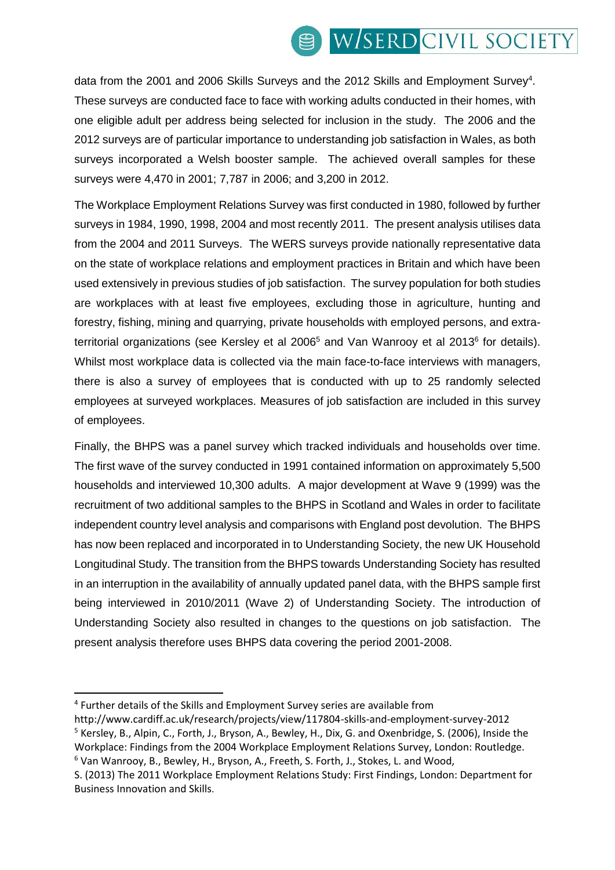# W/SERD CIVIL SOCIETY

data from the 2001 and 2006 Skills Surveys and the 2012 Skills and Employment Survey<sup>4</sup>. These surveys are conducted face to face with working adults conducted in their homes, with one eligible adult per address being selected for inclusion in the study. The 2006 and the 2012 surveys are of particular importance to understanding job satisfaction in Wales, as both surveys incorporated a Welsh booster sample. The achieved overall samples for these surveys were 4,470 in 2001; 7,787 in 2006; and 3,200 in 2012.

The Workplace Employment Relations Survey was first conducted in 1980, followed by further surveys in 1984, 1990, 1998, 2004 and most recently 2011. The present analysis utilises data from the 2004 and 2011 Surveys. The WERS surveys provide nationally representative data on the state of workplace relations and employment practices in Britain and which have been used extensively in previous studies of job satisfaction. The survey population for both studies are workplaces with at least five employees, excluding those in agriculture, hunting and forestry, fishing, mining and quarrying, private households with employed persons, and extraterritorial organizations (see Kersley et al 2006<sup>5</sup> and Van Wanrooy et al 2013<sup>6</sup> for details). Whilst most workplace data is collected via the main face-to-face interviews with managers, there is also a survey of employees that is conducted with up to 25 randomly selected employees at surveyed workplaces. Measures of job satisfaction are included in this survey of employees.

Finally, the BHPS was a panel survey which tracked individuals and households over time. The first wave of the survey conducted in 1991 contained information on approximately 5,500 households and interviewed 10,300 adults. A major development at Wave 9 (1999) was the recruitment of two additional samples to the BHPS in Scotland and Wales in order to facilitate independent country level analysis and comparisons with England post devolution. The BHPS has now been replaced and incorporated in to Understanding Society, the new UK Household Longitudinal Study. The transition from the BHPS towards Understanding Society has resulted in an interruption in the availability of annually updated panel data, with the BHPS sample first being interviewed in 2010/2011 (Wave 2) of Understanding Society. The introduction of Understanding Society also resulted in changes to the questions on job satisfaction. The present analysis therefore uses BHPS data covering the period 2001-2008.

1

<sup>4</sup> Further details of the Skills and Employment Survey series are available from

http://www.cardiff.ac.uk/research/projects/view/117804-skills-and-employment-survey-2012 <sup>5</sup> Kersley, B., Alpin, C., Forth, J., Bryson, A., Bewley, H., Dix, G. and Oxenbridge, S. (2006), Inside the Workplace: Findings from the 2004 Workplace Employment Relations Survey, London: Routledge. <sup>6</sup> Van Wanrooy, B., Bewley, H., Bryson, A., Freeth, S. Forth, J., Stokes, L. and Wood,

S. (2013) The 2011 Workplace Employment Relations Study: First Findings, London: Department for Business Innovation and Skills.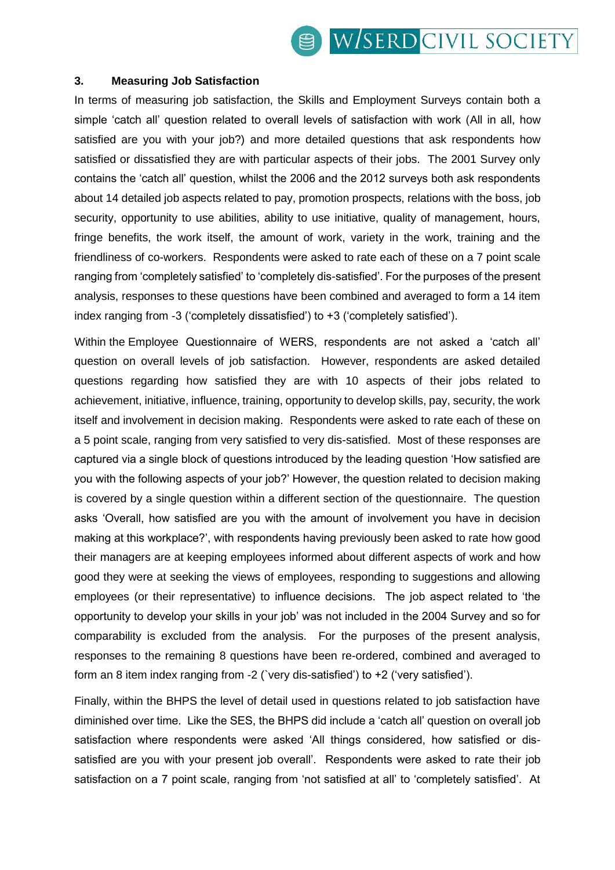#### **3. Measuring Job Satisfaction**

In terms of measuring job satisfaction, the Skills and Employment Surveys contain both a simple 'catch all' question related to overall levels of satisfaction with work (All in all, how satisfied are you with your job?) and more detailed questions that ask respondents how satisfied or dissatisfied they are with particular aspects of their jobs. The 2001 Survey only contains the 'catch all' question, whilst the 2006 and the 2012 surveys both ask respondents about 14 detailed job aspects related to pay, promotion prospects, relations with the boss, job security, opportunity to use abilities, ability to use initiative, quality of management, hours, fringe benefits, the work itself, the amount of work, variety in the work, training and the friendliness of co-workers. Respondents were asked to rate each of these on a 7 point scale ranging from 'completely satisfied' to 'completely dis-satisfied'. For the purposes of the present analysis, responses to these questions have been combined and averaged to form a 14 item index ranging from -3 ('completely dissatisfied') to +3 ('completely satisfied').

Within the Employee Questionnaire of WERS, respondents are not asked a 'catch all' question on overall levels of job satisfaction. However, respondents are asked detailed questions regarding how satisfied they are with 10 aspects of their jobs related to achievement, initiative, influence, training, opportunity to develop skills, pay, security, the work itself and involvement in decision making. Respondents were asked to rate each of these on a 5 point scale, ranging from very satisfied to very dis-satisfied. Most of these responses are captured via a single block of questions introduced by the leading question 'How satisfied are you with the following aspects of your job?' However, the question related to decision making is covered by a single question within a different section of the questionnaire. The question asks 'Overall, how satisfied are you with the amount of involvement you have in decision making at this workplace?', with respondents having previously been asked to rate how good their managers are at keeping employees informed about different aspects of work and how good they were at seeking the views of employees, responding to suggestions and allowing employees (or their representative) to influence decisions. The job aspect related to 'the opportunity to develop your skills in your job' was not included in the 2004 Survey and so for comparability is excluded from the analysis. For the purposes of the present analysis, responses to the remaining 8 questions have been re-ordered, combined and averaged to form an 8 item index ranging from -2 (`very dis-satisfied') to +2 ('very satisfied').

Finally, within the BHPS the level of detail used in questions related to job satisfaction have diminished over time. Like the SES, the BHPS did include a 'catch all' question on overall job satisfaction where respondents were asked 'All things considered, how satisfied or dissatisfied are you with your present job overall'. Respondents were asked to rate their job satisfaction on a 7 point scale, ranging from 'not satisfied at all' to 'completely satisfied'. At